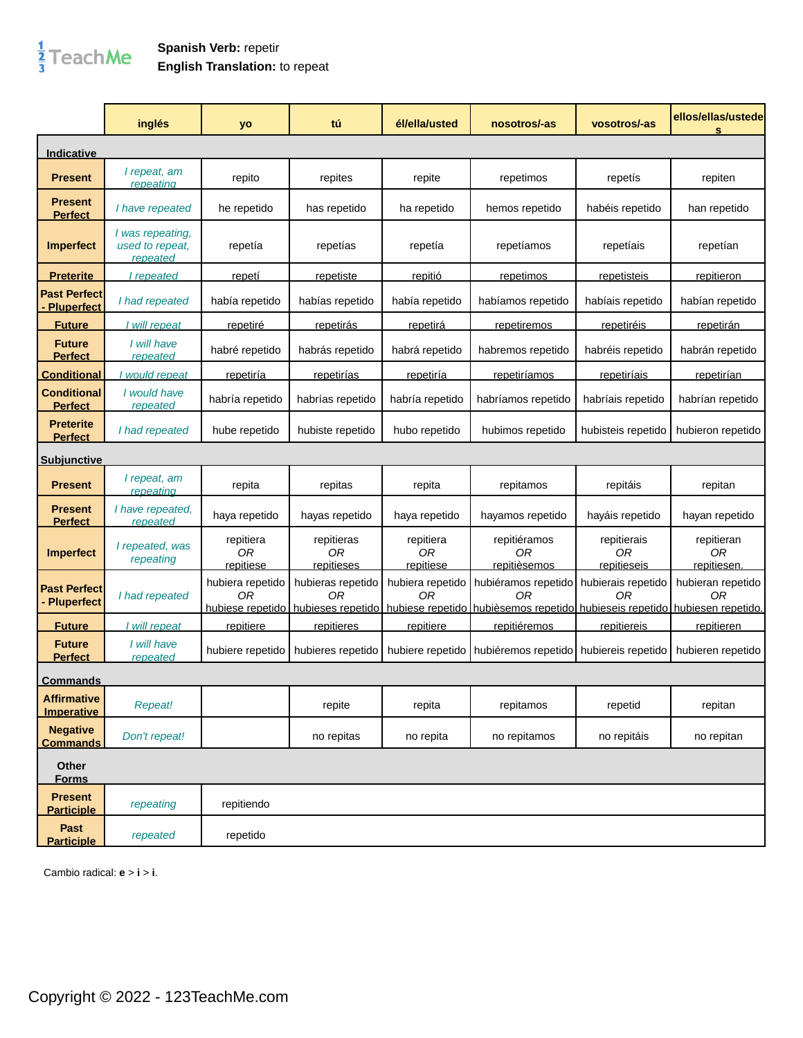## $\frac{1}{3}$ TeachMe

## **Spanish Verb:** repetir **English Translation:** to repeat

|                                         | inglés                                          | yo                           | tú                             | él/ella/usted                | nosotros/-as                                                                                                                                         | vosotros/-as                     | ellos/ellas/ustede<br>s         |
|-----------------------------------------|-------------------------------------------------|------------------------------|--------------------------------|------------------------------|------------------------------------------------------------------------------------------------------------------------------------------------------|----------------------------------|---------------------------------|
| Indicative                              |                                                 |                              |                                |                              |                                                                                                                                                      |                                  |                                 |
| <b>Present</b>                          | I repeat, am<br>repeating                       | repito                       | repites                        | repite                       | repetimos                                                                                                                                            | repetis                          | repiten                         |
| <b>Present</b><br><b>Perfect</b>        | I have repeated                                 | he repetido                  | has repetido                   | ha repetido                  | hemos repetido                                                                                                                                       | habéis repetido                  | han repetido                    |
| <b>Imperfect</b>                        | I was repeating,<br>used to repeat,<br>repeated | repetía                      | repetías                       | repetía                      | repetíamos                                                                                                                                           | repetíais                        | repetían                        |
| <u>Preterite</u>                        | I repeated                                      | <u>repetí</u>                | <u>repetiste</u>               | repitió                      | <u>repetimos</u>                                                                                                                                     | <u>repetisteis</u>               | repitieron                      |
| <b>Past Perfect</b><br>Pluperfect       | I had repeated                                  | había repetido               | habías repetido                | había repetido               | habíamos repetido                                                                                                                                    | habíais repetido                 | habían repetido                 |
| <b>Future</b>                           | I will repeat                                   | <u>repetiré</u>              | repetirás                      | <u>repetirá</u>              | <u>repetiremos</u>                                                                                                                                   | repetiréis                       | <u>repetirán</u>                |
| <b>Future</b><br><b>Perfect</b>         | I will have<br>repeated                         | habré repetido               | habrás repetido                | habrá repetido               | habremos repetido                                                                                                                                    | habréis repetido                 | habrán repetido                 |
| <b>Conditional</b>                      | I would repeat                                  | repetiría                    | repetirías                     | <u>repetiría</u>             | <u>repetiríamos</u>                                                                                                                                  | repetiríais                      | <u>repetirían</u>               |
| <b>Conditional</b><br><b>Perfect</b>    | I would have<br>repeated                        | habría repetido              | habrías repetido               | habría repetido              | habríamos repetido                                                                                                                                   | habríais repetido                | habrían repetido                |
| <b>Preterite</b><br><b>Perfect</b>      | I had repeated                                  | hube repetido                | hubiste repetido               | hubo repetido                | hubimos repetido                                                                                                                                     | hubisteis repetido               | hubieron repetido               |
| <b>Subjunctive</b>                      |                                                 |                              |                                |                              |                                                                                                                                                      |                                  |                                 |
| <b>Present</b>                          | I repeat, am<br>repeating                       | repita                       | repitas                        | repita                       | repitamos                                                                                                                                            | repitáis                         | repitan                         |
| <b>Present</b><br><u>Perfect</u>        | I have repeated,<br>repeated                    | haya repetido                | hayas repetido                 | haya repetido                | hayamos repetido                                                                                                                                     | hayáis repetido                  | hayan repetido                  |
| <b>Imperfect</b>                        | I repeated, was<br>repeating                    | repitiera<br>0R<br>repitiese | repitieras<br>0R<br>repitieses | repitiera<br>0R<br>repitiese | repitiéramos<br>0R<br>repitièsemos                                                                                                                   | repitierais<br>ОR<br>repitieseis | repitieran<br>0R<br>repitiesen. |
| <b>Past Perfect</b><br>- Pluperfect     | I had repeated                                  | hubiera repetido<br>0R       | hubieras repetido<br>0R        | hubiera repetido<br>OR       | hubiéramos repetido<br>ΟR<br>hubiese repetido   hubieses repetido   hubiese repetido   hubièsemos repetido   hubieseis repetido   hubiesen repetido. | hubierais repetido<br>ΩR         | hubieran repetido<br>0R         |
| <b>Future</b>                           | I will repeat                                   | repitiere                    | repitieres                     | repitiere                    | repitiéremos                                                                                                                                         | repitiereis                      | repitieren                      |
| <b>Future</b><br><b>Perfect</b>         | I will have<br>repeated                         | hubiere repetido             | hubieres repetido              |                              | hubiere repetido   hubiéremos repetido   hubiereis repetido                                                                                          |                                  | hubieren repetido               |
| <u>Commands</u>                         |                                                 |                              |                                |                              |                                                                                                                                                      |                                  |                                 |
| <b>Affirmative</b><br><b>Imperative</b> | Repeat!                                         |                              | repite                         | repita                       | repitamos                                                                                                                                            | repetid                          | repitan                         |
| <b>Negative</b><br><b>Commands</b>      | Don't repeat!                                   |                              | no repitas                     | no repita                    | no repitamos                                                                                                                                         | no repitáis                      | no repitan                      |
| Other<br><b>Forms</b>                   |                                                 |                              |                                |                              |                                                                                                                                                      |                                  |                                 |
| <b>Present</b><br><b>Participle</b>     | repeating                                       | repitiendo                   |                                |                              |                                                                                                                                                      |                                  |                                 |
| Past<br><b>Participle</b>               | repeated                                        | repetido                     |                                |                              |                                                                                                                                                      |                                  |                                 |

Cambio radical: **e** > **i** > **i**.